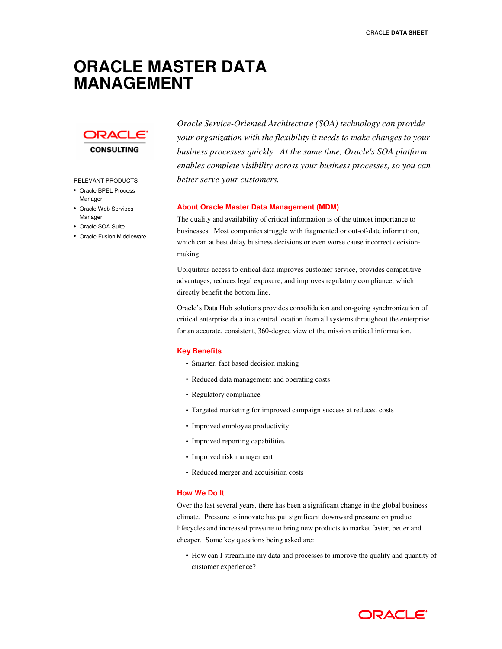# **ORACLE MASTER DATA MANAGEMENT**



#### RELEVANT PRODUCTS

- Oracle BPEL Process Manager
- Oracle Web Services Manager
- Oracle SOA Suite
- Oracle Fusion Middleware

*Oracle Service-Oriented Architecture (SOA) technology can provide your organization with the flexibility it needs to make changes to your business processes quickly. At the same time, Oracle's SOA platform enables complete visibility across your business processes, so you can better serve your customers.* 

## **About Oracle Master Data Management (MDM)**

The quality and availability of critical information is of the utmost importance to businesses. Most companies struggle with fragmented or out-of-date information, which can at best delay business decisions or even worse cause incorrect decisionmaking.

Ubiquitous access to critical data improves customer service, provides competitive advantages, reduces legal exposure, and improves regulatory compliance, which directly benefit the bottom line.

Oracle's Data Hub solutions provides consolidation and on-going synchronization of critical enterprise data in a central location from all systems throughout the enterprise for an accurate, consistent, 360-degree view of the mission critical information.

#### **Key Benefits**

- Smarter, fact based decision making
- Reduced data management and operating costs
- Regulatory compliance
- Targeted marketing for improved campaign success at reduced costs
- Improved employee productivity
- Improved reporting capabilities
- Improved risk management
- Reduced merger and acquisition costs

## **How We Do It**

Over the last several years, there has been a significant change in the global business climate. Pressure to innovate has put significant downward pressure on product lifecycles and increased pressure to bring new products to market faster, better and cheaper. Some key questions being asked are:

• How can I streamline my data and processes to improve the quality and quantity of customer experience?

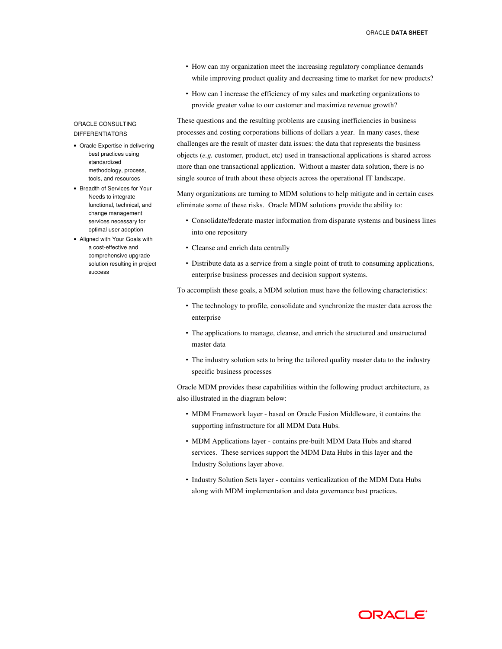- How can my organization meet the increasing regulatory compliance demands while improving product quality and decreasing time to market for new products?
- How can I increase the efficiency of my sales and marketing organizations to provide greater value to our customer and maximize revenue growth?

These questions and the resulting problems are causing inefficiencies in business processes and costing corporations billions of dollars a year. In many cases, these challenges are the result of master data issues: the data that represents the business objects (*e.g.* customer, product, etc) used in transactional applications is shared across more than one transactional application. Without a master data solution, there is no single source of truth about these objects across the operational IT landscape.

Many organizations are turning to MDM solutions to help mitigate and in certain cases eliminate some of these risks. Oracle MDM solutions provide the ability to:

- Consolidate/federate master information from disparate systems and business lines into one repository
- Cleanse and enrich data centrally
- Distribute data as a service from a single point of truth to consuming applications, enterprise business processes and decision support systems.

To accomplish these goals, a MDM solution must have the following characteristics:

- The technology to profile, consolidate and synchronize the master data across the enterprise
- The applications to manage, cleanse, and enrich the structured and unstructured master data
- The industry solution sets to bring the tailored quality master data to the industry specific business processes

Oracle MDM provides these capabilities within the following product architecture, as also illustrated in the diagram below:

- MDM Framework layer based on Oracle Fusion Middleware, it contains the supporting infrastructure for all MDM Data Hubs.
- MDM Applications layer contains pre-built MDM Data Hubs and shared services. These services support the MDM Data Hubs in this layer and the Industry Solutions layer above.
- Industry Solution Sets layer contains verticalization of the MDM Data Hubs along with MDM implementation and data governance best practices.

# ORACLE CONSULTING DIFFERENTIATORS

- Oracle Expertise in delivering best practices using standardized methodology, process, tools, and resources
- Breadth of Services for Your Needs to integrate functional, technical, and change management services necessary for optimal user adoption
- Aligned with Your Goals with a cost-effective and comprehensive upgrade solution resulting in project success

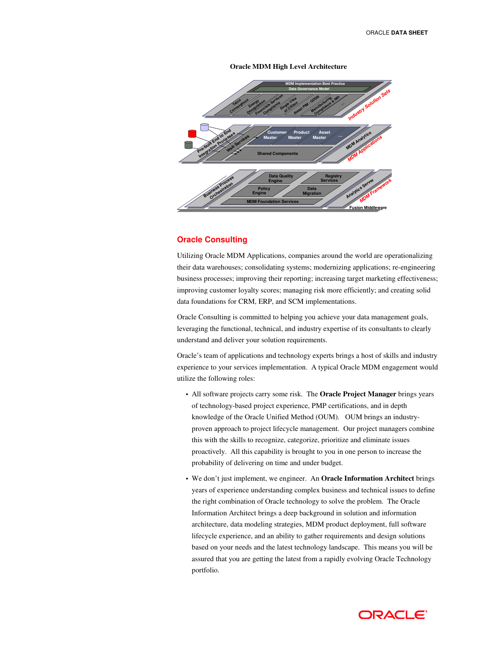# **Oracle MDM High Level Architecture**



# **Oracle Consulting**

Utilizing Oracle MDM Applications, companies around the world are operationalizing their data warehouses; consolidating systems; modernizing applications; re-engineering business processes; improving their reporting; increasing target marketing effectiveness; improving customer loyalty scores; managing risk more efficiently; and creating solid data foundations for CRM, ERP, and SCM implementations.

Oracle Consulting is committed to helping you achieve your data management goals, leveraging the functional, technical, and industry expertise of its consultants to clearly understand and deliver your solution requirements.

Oracle's team of applications and technology experts brings a host of skills and industry experience to your services implementation. A typical Oracle MDM engagement would utilize the following roles:

- All software projects carry some risk. The **Oracle Project Manager** brings years of technology-based project experience, PMP certifications, and in depth knowledge of the Oracle Unified Method (OUM). OUM brings an industryproven approach to project lifecycle management. Our project managers combine this with the skills to recognize, categorize, prioritize and eliminate issues proactively. All this capability is brought to you in one person to increase the probability of delivering on time and under budget.
- We don't just implement, we engineer. An **Oracle Information Architect** brings years of experience understanding complex business and technical issues to define the right combination of Oracle technology to solve the problem. The Oracle Information Architect brings a deep background in solution and information architecture, data modeling strategies, MDM product deployment, full software lifecycle experience, and an ability to gather requirements and design solutions based on your needs and the latest technology landscape. This means you will be assured that you are getting the latest from a rapidly evolving Oracle Technology portfolio.